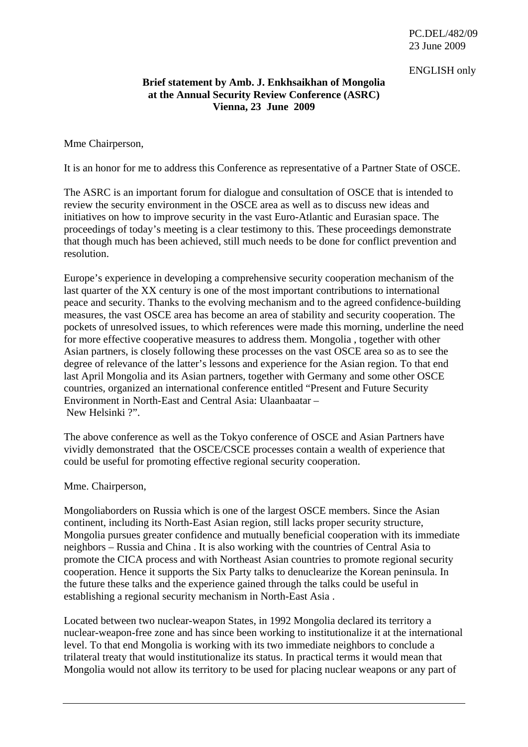ENGLISH only

## **Brief statement by Amb. J. Enkhsaikhan of Mongolia at the Annual Security Review Conference (ASRC) Vienna, 23 June 2009**

Mme Chairperson,

It is an honor for me to address this Conference as representative of a Partner State of OSCE.

The ASRC is an important forum for dialogue and consultation of OSCE that is intended to review the security environment in the OSCE area as well as to discuss new ideas and initiatives on how to improve security in the vast Euro-Atlantic and Eurasian space. The proceedings of today's meeting is a clear testimony to this. These proceedings demonstrate that though much has been achieved, still much needs to be done for conflict prevention and resolution.

Europe's experience in developing a comprehensive security cooperation mechanism of the last quarter of the XX century is one of the most important contributions to international peace and security. Thanks to the evolving mechanism and to the agreed confidence-building measures, the vast OSCE area has become an area of stability and security cooperation. The pockets of unresolved issues, to which references were made this morning, underline the need for more effective cooperative measures to address them. Mongolia , together with other Asian partners, is closely following these processes on the vast OSCE area so as to see the degree of relevance of the latter's lessons and experience for the Asian region. To that end last April Mongolia and its Asian partners, together with Germany and some other OSCE countries, organized an international conference entitled "Present and Future Security Environment in North-East and Central Asia: Ulaanbaatar – New Helsinki ?".

The above conference as well as the Tokyo conference of OSCE and Asian Partners have vividly demonstrated that the OSCE/CSCE processes contain a wealth of experience that could be useful for promoting effective regional security cooperation.

Mme. Chairperson,

Mongoliaborders on Russia which is one of the largest OSCE members. Since the Asian continent, including its North-East Asian region, still lacks proper security structure, Mongolia pursues greater confidence and mutually beneficial cooperation with its immediate neighbors – Russia and China . It is also working with the countries of Central Asia to promote the CICA process and with Northeast Asian countries to promote regional security cooperation. Hence it supports the Six Party talks to denuclearize the Korean peninsula. In the future these talks and the experience gained through the talks could be useful in establishing a regional security mechanism in North-East Asia .

Located between two nuclear-weapon States, in 1992 Mongolia declared its territory a nuclear-weapon-free zone and has since been working to institutionalize it at the international level. To that end Mongolia is working with its two immediate neighbors to conclude a trilateral treaty that would institutionalize its status. In practical terms it would mean that Mongolia would not allow its territory to be used for placing nuclear weapons or any part of